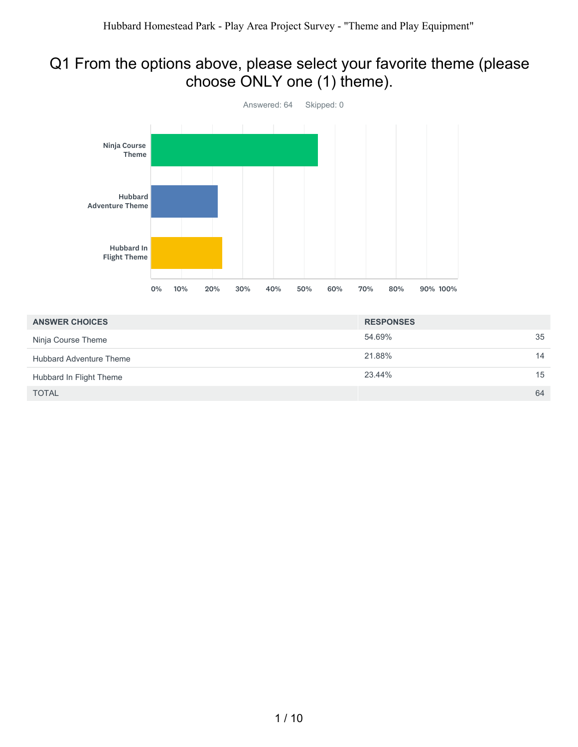### Q1 From the options above, please select your favorite theme (please choose ONLY one (1) theme).



| <b>ANSWER CHOICES</b>          | <b>RESPONSES</b> |    |
|--------------------------------|------------------|----|
| Ninja Course Theme             | 54.69%           | 35 |
| <b>Hubbard Adventure Theme</b> | 21.88%           | 14 |
| Hubbard In Flight Theme        | 23.44%           | 15 |
| <b>TOTAL</b>                   |                  | 64 |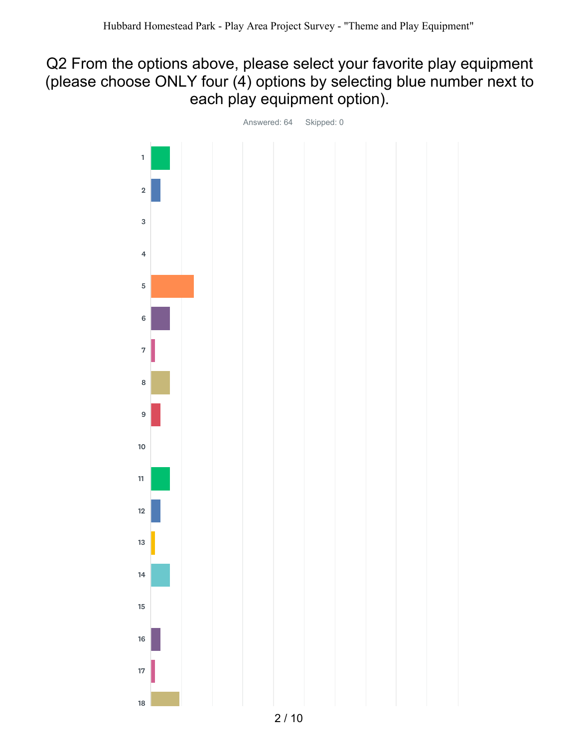### Q2 From the options above, please select your favorite play equipment (please choose ONLY four (4) options by selecting blue number next to each play equipment option).

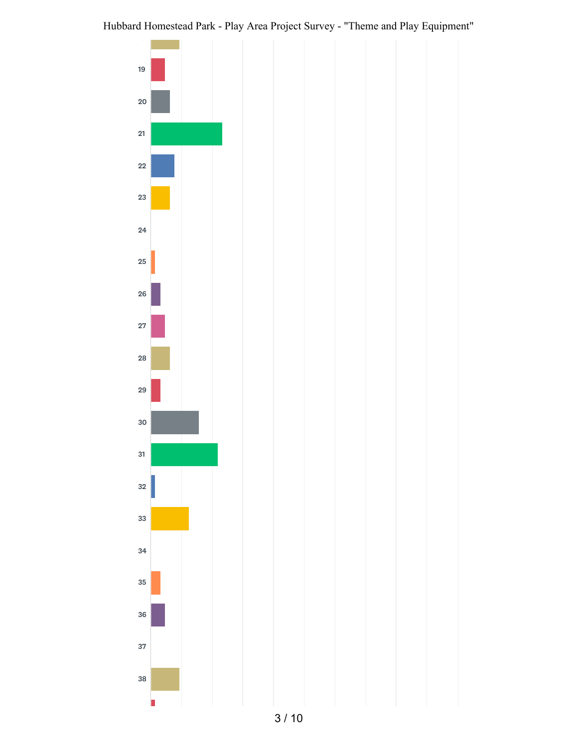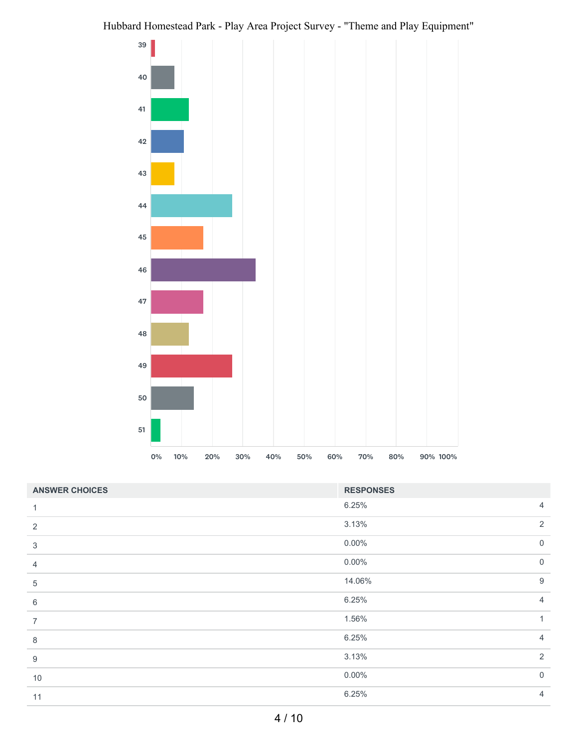

| <b>ANSWER CHOICES</b> | <b>RESPONSES</b> |                |
|-----------------------|------------------|----------------|
| 1                     | 6.25%            | $\overline{4}$ |
| 2                     | 3.13%            | 2              |
| 3                     | $0.00\%$         | $\overline{0}$ |
| 4                     | $0.00\%$         | $\overline{0}$ |
| 5                     | 14.06%           | $9$            |
| $\,6\,$               | 6.25%            | $\overline{4}$ |
| 7                     | 1.56%            | 1              |
| 8                     | 6.25%            | $\overline{4}$ |
| 9                     | 3.13%            | $\overline{2}$ |
| $10$                  | $0.00\%$         | $\overline{0}$ |
| 11                    | 6.25%            | $\overline{4}$ |
|                       |                  |                |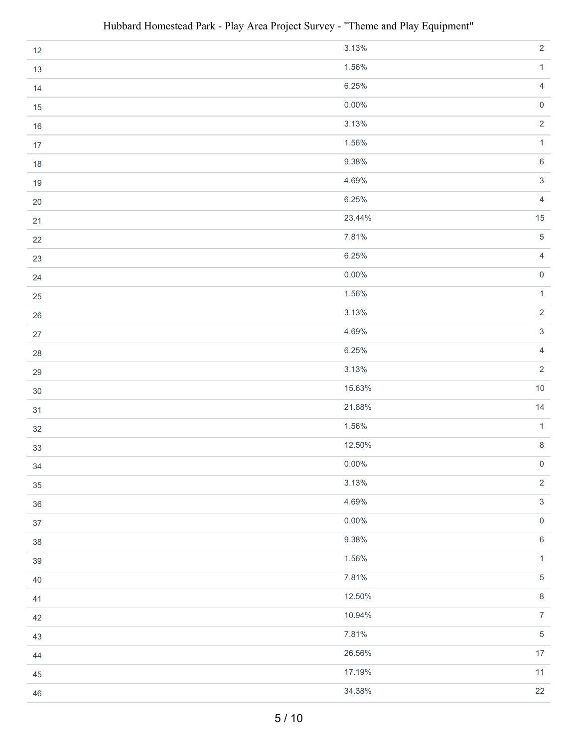| $12$   | 3.13%    | $\overline{2}$      |
|--------|----------|---------------------|
| 13     | 1.56%    | $\mathbf{1}$        |
| 14     | 6.25%    | $\overline{4}$      |
| $15\,$ | $0.00\%$ | $\mathsf{O}\xspace$ |
| 16     | 3.13%    | $\overline{2}$      |
| 17     | 1.56%    | $\mathbf{1}$        |
| $18$   | 9.38%    | $\,6\,$             |
| 19     | 4.69%    | $\mathfrak{S}$      |
| $20\,$ | 6.25%    | $\overline{4}$      |
| 21     | 23.44%   | $15\,$              |
| 22     | 7.81%    | $\sqrt{5}$          |
| 23     | 6.25%    | $\overline{4}$      |
| 24     | $0.00\%$ | $\mathsf{O}\xspace$ |
| 25     | 1.56%    | $\mathbf{1}$        |
| $26\,$ | 3.13%    | $\sqrt{2}$          |
| $27\,$ | 4.69%    | $\mathfrak{S}$      |
| $28\,$ | 6.25%    | $\overline{4}$      |
| 29     | 3.13%    | $\overline{2}$      |
| $30\,$ | 15.63%   | $10\,$              |
| 31     | 21.88%   | 14                  |
| $32\,$ | 1.56%    | $\mathbf{1}$        |
| 33     | 12.50%   | $\,8\,$             |
| $34\,$ | $0.00\%$ | $\mathbf 0$         |
| $35\,$ | 3.13%    | $\sqrt{2}$          |
| $36\,$ | 4.69%    | $\sqrt{3}$          |
| 37     | $0.00\%$ | $\mathsf{O}\xspace$ |
| $38\,$ | 9.38%    | $\,6\,$             |
| $39\,$ | 1.56%    | $\mathbf{1}$        |
| 40     | 7.81%    | $\sqrt{5}$          |
| 41     | 12.50%   | $\,8\,$             |
| 42     | 10.94%   | $\overline{7}$      |
| 43     | 7.81%    | $\sqrt{5}$          |
| 44     | 26.56%   | $17\,$              |
| 45     | 17.19%   | 11                  |
| $46\,$ | 34.38%   | 22                  |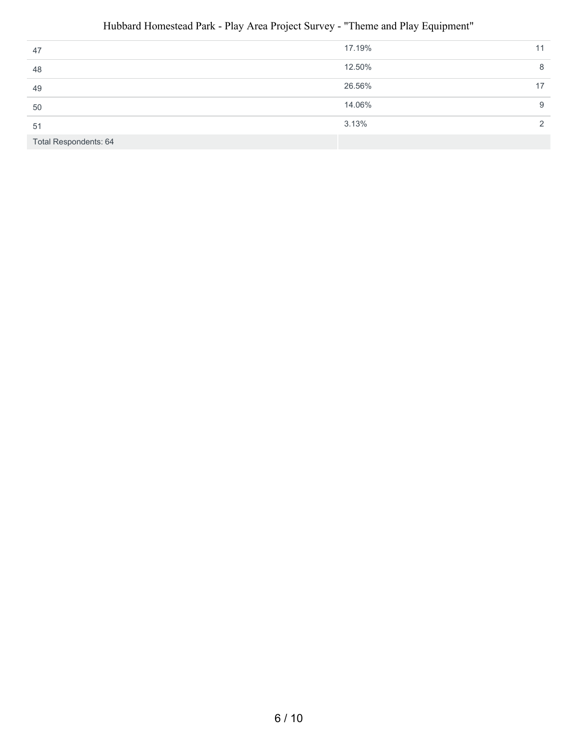| 47                           | 17.19% | 11 |
|------------------------------|--------|----|
| 48                           | 12.50% | 8  |
| 49                           | 26.56% |    |
| 50                           | 14.06% | 9  |
| 51                           | 3.13%  |    |
| <b>Total Respondents: 64</b> |        |    |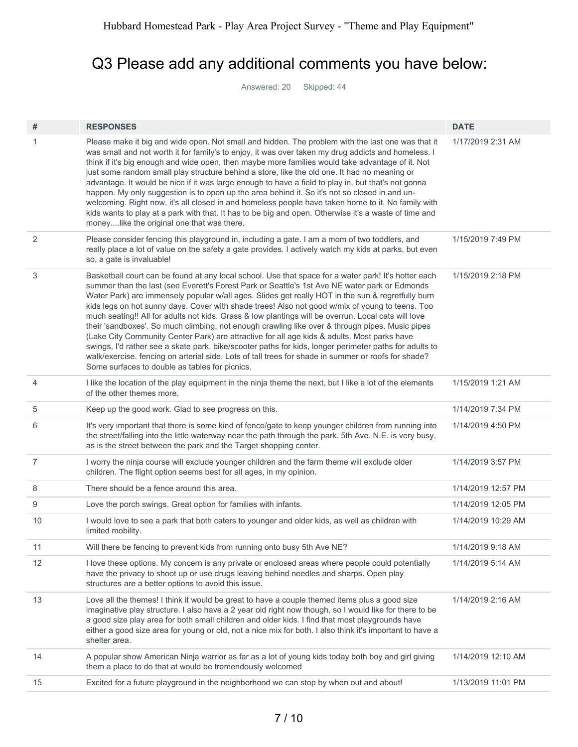### Q3 Please add any additional comments you have below:

Answered: 20 Skipped: 44

| 1<br>Please make it big and wide open. Not small and hidden. The problem with the last one was that it<br>1/17/2019 2:31 AM<br>was small and not worth it for family's to enjoy, it was over taken my drug addicts and homeless. I<br>think if it's big enough and wide open, then maybe more families would take advantage of it. Not<br>just some random small play structure behind a store, like the old one. It had no meaning or<br>advantage. It would be nice if it was large enough to have a field to play in, but that's not gonna<br>happen. My only suggestion is to open up the area behind it. So it's not so closed in and un-<br>welcoming. Right now, it's all closed in and homeless people have taken home to it. No family with<br>kids wants to play at a park with that. It has to be big and open. Otherwise it's a waste of time and<br>moneylike the original one that was there.<br>2<br>Please consider fencing this playground in, including a gate. I am a mom of two toddlers, and<br>1/15/2019 7:49 PM<br>really place a lot of value on the safety a gate provides. I actively watch my kids at parks, but even<br>so, a gate is invaluable!<br>3<br>Basketball court can be found at any local school. Use that space for a water park! It's hotter each<br>1/15/2019 2:18 PM<br>summer than the last (see Everett's Forest Park or Seattle's 1st Ave NE water park or Edmonds<br>Water Park) are immensely popular w/all ages. Slides get really HOT in the sun & regretfully burn<br>kids legs on hot sunny days. Cover with shade trees! Also not good w/mix of young to teens. Too<br>much seating!! All for adults not kids. Grass & low plantings will be overrun. Local cats will love<br>their 'sandboxes'. So much climbing, not enough crawling like over & through pipes. Music pipes<br>(Lake City Community Center Park) are attractive for all age kids & adults. Most parks have<br>swings, I'd rather see a skate park, bike/scooter paths for kids, longer perimeter paths for adults to<br>walk/exercise. fencing on arterial side. Lots of tall trees for shade in summer or roofs for shade?<br>Some surfaces to double as tables for picnics.<br>4<br>I like the location of the play equipment in the ninja theme the next, but I like a lot of the elements<br>1/15/2019 1:21 AM<br>of the other themes more.<br>5<br>Keep up the good work. Glad to see progress on this.<br>1/14/2019 7:34 PM<br>6<br>It's very important that there is some kind of fence/gate to keep younger children from running into<br>1/14/2019 4:50 PM<br>the street/falling into the little waterway near the path through the park. 5th Ave. N.E. is very busy,<br>as is the street between the park and the Target shopping center.<br>$\overline{7}$<br>I worry the ninja course will exclude younger children and the farm theme will exclude older<br>1/14/2019 3:57 PM<br>children. The flight option seems best for all ages, in my opinion.<br>There should be a fence around this area.<br>8<br>1/14/2019 12:57 PM<br>9<br>1/14/2019 12:05 PM<br>Love the porch swings. Great option for families with infants.<br>I would love to see a park that both caters to younger and older kids, as well as children with<br>10<br>1/14/2019 10:29 AM<br>limited mobility.<br>11<br>Will there be fencing to prevent kids from running onto busy 5th Ave NE?<br>1/14/2019 9:18 AM<br>12<br>I love these options. My concern is any private or enclosed areas where people could potentially<br>1/14/2019 5:14 AM<br>have the privacy to shoot up or use drugs leaving behind needles and sharps. Open play<br>structures are a better options to avoid this issue.<br>13<br>Love all the themes! I think it would be great to have a couple themed items plus a good size<br>1/14/2019 2:16 AM<br>imaginative play structure. I also have a 2 year old right now though, so I would like for there to be<br>a good size play area for both small children and older kids. I find that most playgrounds have<br>either a good size area for young or old, not a nice mix for both. I also think it's important to have a<br>shelter area.<br>A popular show American Ninja warrior as far as a lot of young kids today both boy and girl giving<br>14<br>1/14/2019 12:10 AM<br>them a place to do that at would be tremendously welcomed<br>15<br>Excited for a future playground in the neighborhood we can stop by when out and about!<br>1/13/2019 11:01 PM | # | <b>RESPONSES</b> | <b>DATE</b> |
|------------------------------------------------------------------------------------------------------------------------------------------------------------------------------------------------------------------------------------------------------------------------------------------------------------------------------------------------------------------------------------------------------------------------------------------------------------------------------------------------------------------------------------------------------------------------------------------------------------------------------------------------------------------------------------------------------------------------------------------------------------------------------------------------------------------------------------------------------------------------------------------------------------------------------------------------------------------------------------------------------------------------------------------------------------------------------------------------------------------------------------------------------------------------------------------------------------------------------------------------------------------------------------------------------------------------------------------------------------------------------------------------------------------------------------------------------------------------------------------------------------------------------------------------------------------------------------------------------------------------------------------------------------------------------------------------------------------------------------------------------------------------------------------------------------------------------------------------------------------------------------------------------------------------------------------------------------------------------------------------------------------------------------------------------------------------------------------------------------------------------------------------------------------------------------------------------------------------------------------------------------------------------------------------------------------------------------------------------------------------------------------------------------------------------------------------------------------------------------------------------------------------------------------------------------------------------------------------------------------------------------------------------------------------------------------------------------------------------------------------------------------------------------------------------------------------------------------------------------------------------------------------------------------------------------------------------------------------------------------------------------------------------------------------------------------------------------------------------------------------------------------------------------------------------------------------------------------------------------------------------------------------------------------------------------------------------------------------------------------------------------------------------------------------------------------------------------------------------------------------------------------------------------------------------------------------------------------------------------------------------------------------------------------------------------------------------------------------------------------------------------------------------------------------------------------------------------------------------------------------------------------------------------------------------------------------------------------------------------------------------------------------------------------------------------------------------------------------------------------------------------------------------------------------------------------------------------------------------------------------------------------------------------------------------------------------------------------------------------------------------------------------------------------------------------------------------------------------------------------------------|---|------------------|-------------|
|                                                                                                                                                                                                                                                                                                                                                                                                                                                                                                                                                                                                                                                                                                                                                                                                                                                                                                                                                                                                                                                                                                                                                                                                                                                                                                                                                                                                                                                                                                                                                                                                                                                                                                                                                                                                                                                                                                                                                                                                                                                                                                                                                                                                                                                                                                                                                                                                                                                                                                                                                                                                                                                                                                                                                                                                                                                                                                                                                                                                                                                                                                                                                                                                                                                                                                                                                                                                                                                                                                                                                                                                                                                                                                                                                                                                                                                                                                                                                                                                                                                                                                                                                                                                                                                                                                                                                                                                                                                                                                      |   |                  |             |
|                                                                                                                                                                                                                                                                                                                                                                                                                                                                                                                                                                                                                                                                                                                                                                                                                                                                                                                                                                                                                                                                                                                                                                                                                                                                                                                                                                                                                                                                                                                                                                                                                                                                                                                                                                                                                                                                                                                                                                                                                                                                                                                                                                                                                                                                                                                                                                                                                                                                                                                                                                                                                                                                                                                                                                                                                                                                                                                                                                                                                                                                                                                                                                                                                                                                                                                                                                                                                                                                                                                                                                                                                                                                                                                                                                                                                                                                                                                                                                                                                                                                                                                                                                                                                                                                                                                                                                                                                                                                                                      |   |                  |             |
|                                                                                                                                                                                                                                                                                                                                                                                                                                                                                                                                                                                                                                                                                                                                                                                                                                                                                                                                                                                                                                                                                                                                                                                                                                                                                                                                                                                                                                                                                                                                                                                                                                                                                                                                                                                                                                                                                                                                                                                                                                                                                                                                                                                                                                                                                                                                                                                                                                                                                                                                                                                                                                                                                                                                                                                                                                                                                                                                                                                                                                                                                                                                                                                                                                                                                                                                                                                                                                                                                                                                                                                                                                                                                                                                                                                                                                                                                                                                                                                                                                                                                                                                                                                                                                                                                                                                                                                                                                                                                                      |   |                  |             |
|                                                                                                                                                                                                                                                                                                                                                                                                                                                                                                                                                                                                                                                                                                                                                                                                                                                                                                                                                                                                                                                                                                                                                                                                                                                                                                                                                                                                                                                                                                                                                                                                                                                                                                                                                                                                                                                                                                                                                                                                                                                                                                                                                                                                                                                                                                                                                                                                                                                                                                                                                                                                                                                                                                                                                                                                                                                                                                                                                                                                                                                                                                                                                                                                                                                                                                                                                                                                                                                                                                                                                                                                                                                                                                                                                                                                                                                                                                                                                                                                                                                                                                                                                                                                                                                                                                                                                                                                                                                                                                      |   |                  |             |
|                                                                                                                                                                                                                                                                                                                                                                                                                                                                                                                                                                                                                                                                                                                                                                                                                                                                                                                                                                                                                                                                                                                                                                                                                                                                                                                                                                                                                                                                                                                                                                                                                                                                                                                                                                                                                                                                                                                                                                                                                                                                                                                                                                                                                                                                                                                                                                                                                                                                                                                                                                                                                                                                                                                                                                                                                                                                                                                                                                                                                                                                                                                                                                                                                                                                                                                                                                                                                                                                                                                                                                                                                                                                                                                                                                                                                                                                                                                                                                                                                                                                                                                                                                                                                                                                                                                                                                                                                                                                                                      |   |                  |             |
|                                                                                                                                                                                                                                                                                                                                                                                                                                                                                                                                                                                                                                                                                                                                                                                                                                                                                                                                                                                                                                                                                                                                                                                                                                                                                                                                                                                                                                                                                                                                                                                                                                                                                                                                                                                                                                                                                                                                                                                                                                                                                                                                                                                                                                                                                                                                                                                                                                                                                                                                                                                                                                                                                                                                                                                                                                                                                                                                                                                                                                                                                                                                                                                                                                                                                                                                                                                                                                                                                                                                                                                                                                                                                                                                                                                                                                                                                                                                                                                                                                                                                                                                                                                                                                                                                                                                                                                                                                                                                                      |   |                  |             |
|                                                                                                                                                                                                                                                                                                                                                                                                                                                                                                                                                                                                                                                                                                                                                                                                                                                                                                                                                                                                                                                                                                                                                                                                                                                                                                                                                                                                                                                                                                                                                                                                                                                                                                                                                                                                                                                                                                                                                                                                                                                                                                                                                                                                                                                                                                                                                                                                                                                                                                                                                                                                                                                                                                                                                                                                                                                                                                                                                                                                                                                                                                                                                                                                                                                                                                                                                                                                                                                                                                                                                                                                                                                                                                                                                                                                                                                                                                                                                                                                                                                                                                                                                                                                                                                                                                                                                                                                                                                                                                      |   |                  |             |
|                                                                                                                                                                                                                                                                                                                                                                                                                                                                                                                                                                                                                                                                                                                                                                                                                                                                                                                                                                                                                                                                                                                                                                                                                                                                                                                                                                                                                                                                                                                                                                                                                                                                                                                                                                                                                                                                                                                                                                                                                                                                                                                                                                                                                                                                                                                                                                                                                                                                                                                                                                                                                                                                                                                                                                                                                                                                                                                                                                                                                                                                                                                                                                                                                                                                                                                                                                                                                                                                                                                                                                                                                                                                                                                                                                                                                                                                                                                                                                                                                                                                                                                                                                                                                                                                                                                                                                                                                                                                                                      |   |                  |             |
|                                                                                                                                                                                                                                                                                                                                                                                                                                                                                                                                                                                                                                                                                                                                                                                                                                                                                                                                                                                                                                                                                                                                                                                                                                                                                                                                                                                                                                                                                                                                                                                                                                                                                                                                                                                                                                                                                                                                                                                                                                                                                                                                                                                                                                                                                                                                                                                                                                                                                                                                                                                                                                                                                                                                                                                                                                                                                                                                                                                                                                                                                                                                                                                                                                                                                                                                                                                                                                                                                                                                                                                                                                                                                                                                                                                                                                                                                                                                                                                                                                                                                                                                                                                                                                                                                                                                                                                                                                                                                                      |   |                  |             |
|                                                                                                                                                                                                                                                                                                                                                                                                                                                                                                                                                                                                                                                                                                                                                                                                                                                                                                                                                                                                                                                                                                                                                                                                                                                                                                                                                                                                                                                                                                                                                                                                                                                                                                                                                                                                                                                                                                                                                                                                                                                                                                                                                                                                                                                                                                                                                                                                                                                                                                                                                                                                                                                                                                                                                                                                                                                                                                                                                                                                                                                                                                                                                                                                                                                                                                                                                                                                                                                                                                                                                                                                                                                                                                                                                                                                                                                                                                                                                                                                                                                                                                                                                                                                                                                                                                                                                                                                                                                                                                      |   |                  |             |
|                                                                                                                                                                                                                                                                                                                                                                                                                                                                                                                                                                                                                                                                                                                                                                                                                                                                                                                                                                                                                                                                                                                                                                                                                                                                                                                                                                                                                                                                                                                                                                                                                                                                                                                                                                                                                                                                                                                                                                                                                                                                                                                                                                                                                                                                                                                                                                                                                                                                                                                                                                                                                                                                                                                                                                                                                                                                                                                                                                                                                                                                                                                                                                                                                                                                                                                                                                                                                                                                                                                                                                                                                                                                                                                                                                                                                                                                                                                                                                                                                                                                                                                                                                                                                                                                                                                                                                                                                                                                                                      |   |                  |             |
|                                                                                                                                                                                                                                                                                                                                                                                                                                                                                                                                                                                                                                                                                                                                                                                                                                                                                                                                                                                                                                                                                                                                                                                                                                                                                                                                                                                                                                                                                                                                                                                                                                                                                                                                                                                                                                                                                                                                                                                                                                                                                                                                                                                                                                                                                                                                                                                                                                                                                                                                                                                                                                                                                                                                                                                                                                                                                                                                                                                                                                                                                                                                                                                                                                                                                                                                                                                                                                                                                                                                                                                                                                                                                                                                                                                                                                                                                                                                                                                                                                                                                                                                                                                                                                                                                                                                                                                                                                                                                                      |   |                  |             |
|                                                                                                                                                                                                                                                                                                                                                                                                                                                                                                                                                                                                                                                                                                                                                                                                                                                                                                                                                                                                                                                                                                                                                                                                                                                                                                                                                                                                                                                                                                                                                                                                                                                                                                                                                                                                                                                                                                                                                                                                                                                                                                                                                                                                                                                                                                                                                                                                                                                                                                                                                                                                                                                                                                                                                                                                                                                                                                                                                                                                                                                                                                                                                                                                                                                                                                                                                                                                                                                                                                                                                                                                                                                                                                                                                                                                                                                                                                                                                                                                                                                                                                                                                                                                                                                                                                                                                                                                                                                                                                      |   |                  |             |
|                                                                                                                                                                                                                                                                                                                                                                                                                                                                                                                                                                                                                                                                                                                                                                                                                                                                                                                                                                                                                                                                                                                                                                                                                                                                                                                                                                                                                                                                                                                                                                                                                                                                                                                                                                                                                                                                                                                                                                                                                                                                                                                                                                                                                                                                                                                                                                                                                                                                                                                                                                                                                                                                                                                                                                                                                                                                                                                                                                                                                                                                                                                                                                                                                                                                                                                                                                                                                                                                                                                                                                                                                                                                                                                                                                                                                                                                                                                                                                                                                                                                                                                                                                                                                                                                                                                                                                                                                                                                                                      |   |                  |             |
|                                                                                                                                                                                                                                                                                                                                                                                                                                                                                                                                                                                                                                                                                                                                                                                                                                                                                                                                                                                                                                                                                                                                                                                                                                                                                                                                                                                                                                                                                                                                                                                                                                                                                                                                                                                                                                                                                                                                                                                                                                                                                                                                                                                                                                                                                                                                                                                                                                                                                                                                                                                                                                                                                                                                                                                                                                                                                                                                                                                                                                                                                                                                                                                                                                                                                                                                                                                                                                                                                                                                                                                                                                                                                                                                                                                                                                                                                                                                                                                                                                                                                                                                                                                                                                                                                                                                                                                                                                                                                                      |   |                  |             |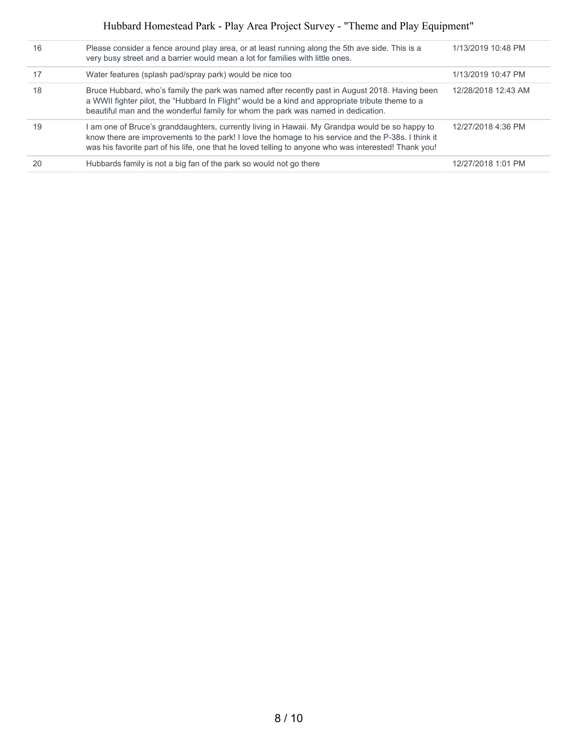| 16 | Please consider a fence around play area, or at least running along the 5th ave side. This is a<br>very busy street and a barrier would mean a lot for families with little ones.                                                                                                                             | 1/13/2019 10:48 PM  |
|----|---------------------------------------------------------------------------------------------------------------------------------------------------------------------------------------------------------------------------------------------------------------------------------------------------------------|---------------------|
| 17 | Water features (splash pad/spray park) would be nice too                                                                                                                                                                                                                                                      | 1/13/2019 10:47 PM  |
| 18 | Bruce Hubbard, who's family the park was named after recently past in August 2018. Having been<br>a WWII fighter pilot, the "Hubbard In Flight" would be a kind and appropriate tribute theme to a<br>beautiful man and the wonderful family for whom the park was named in dedication.                       | 12/28/2018 12:43 AM |
| 19 | am one of Bruce's granddaughters, currently living in Hawaii. My Grandpa would be so happy to<br>know there are improvements to the park! I love the homage to his service and the P-38s. I think it<br>was his favorite part of his life, one that he loved telling to anyone who was interested! Thank you! | 12/27/2018 4:36 PM  |
| 20 | Hubbards family is not a big fan of the park so would not go there                                                                                                                                                                                                                                            | 12/27/2018 1:01 PM  |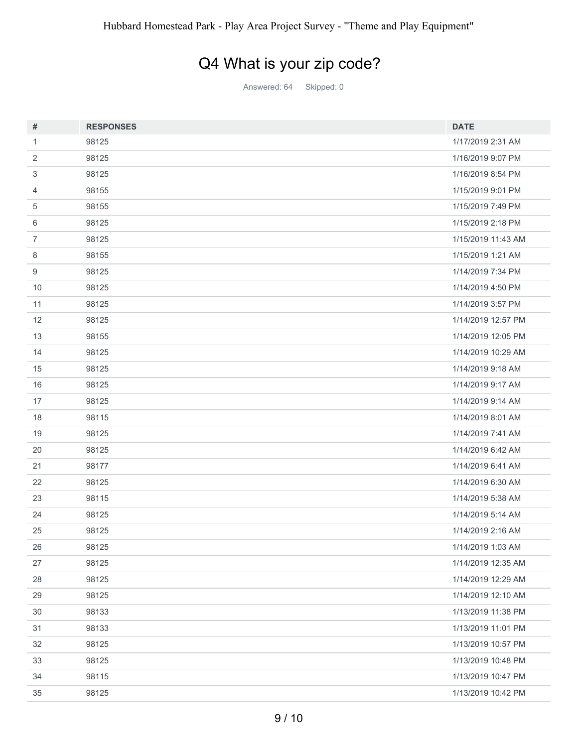## Q4 What is your zip code?

Answered: 64 Skipped: 0

| $\#$           | <b>RESPONSES</b> | <b>DATE</b>        |
|----------------|------------------|--------------------|
| 1              | 98125            | 1/17/2019 2:31 AM  |
| 2              | 98125            | 1/16/2019 9:07 PM  |
| 3              | 98125            | 1/16/2019 8:54 PM  |
| 4              | 98155            | 1/15/2019 9:01 PM  |
| 5              | 98155            | 1/15/2019 7:49 PM  |
| 6              | 98125            | 1/15/2019 2:18 PM  |
| $\overline{7}$ | 98125            | 1/15/2019 11:43 AM |
| 8              | 98155            | 1/15/2019 1:21 AM  |
| 9              | 98125            | 1/14/2019 7:34 PM  |
| 10             | 98125            | 1/14/2019 4:50 PM  |
| 11             | 98125            | 1/14/2019 3:57 PM  |
| 12             | 98125            | 1/14/2019 12:57 PM |
| 13             | 98155            | 1/14/2019 12:05 PM |
| 14             | 98125            | 1/14/2019 10:29 AM |
| 15             | 98125            | 1/14/2019 9:18 AM  |
| 16             | 98125            | 1/14/2019 9:17 AM  |
| 17             | 98125            | 1/14/2019 9:14 AM  |
| 18             | 98115            | 1/14/2019 8:01 AM  |
| 19             | 98125            | 1/14/2019 7:41 AM  |
| 20             | 98125            | 1/14/2019 6:42 AM  |
| 21             | 98177            | 1/14/2019 6:41 AM  |
| 22             | 98125            | 1/14/2019 6:30 AM  |
| 23             | 98115            | 1/14/2019 5:38 AM  |
| 24             | 98125            | 1/14/2019 5:14 AM  |
| 25             | 98125            | 1/14/2019 2:16 AM  |
| 26             | 98125            | 1/14/2019 1:03 AM  |
| 27             | 98125            | 1/14/2019 12:35 AM |
| 28             | 98125            | 1/14/2019 12:29 AM |
| 29             | 98125            | 1/14/2019 12:10 AM |
| $30\,$         | 98133            | 1/13/2019 11:38 PM |
| 31             | 98133            | 1/13/2019 11:01 PM |
| 32             | 98125            | 1/13/2019 10:57 PM |
| 33             | 98125            | 1/13/2019 10:48 PM |
| 34             | 98115            | 1/13/2019 10:47 PM |
| 35             | 98125            | 1/13/2019 10:42 PM |